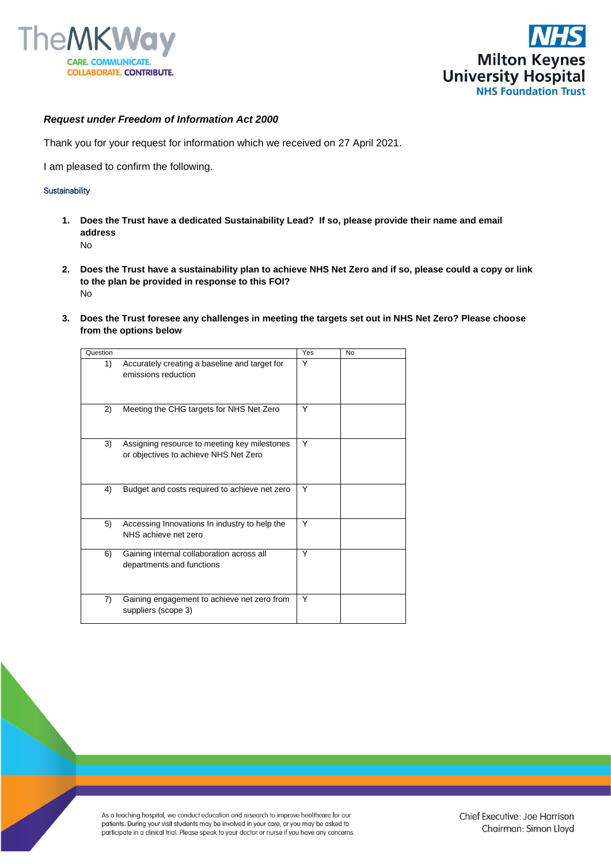



## *Request under Freedom of Information Act 2000*

Thank you for your request for information which we received on 27 April 2021.

I am pleased to confirm the following.

## **Sustainability**

- **1. Does the Trust have a dedicated Sustainability Lead? If so, please provide their name and email address**  No
- **2. Does the Trust have a sustainability plan to achieve NHS Net Zero and if so, please could a copy or link to the plan be provided in response to this FOI?**  No
- **3. Does the Trust foresee any challenges in meeting the targets set out in NHS Net Zero? Please choose from the options below**

| Question |                                                                                       | <b>Yes</b> | <b>No</b> |
|----------|---------------------------------------------------------------------------------------|------------|-----------|
| 1)       | Accurately creating a baseline and target for<br>emissions reduction                  | Υ          |           |
| 2)       | Meeting the CHG targets for NHS Net Zero                                              | Y          |           |
| 3)       | Assigning resource to meeting key milestones<br>or objectives to achieve NHS Net Zero | Y          |           |
| 4)       | Budget and costs required to achieve net zero                                         | Υ          |           |
| 5)       | Accessing Innovations In industry to help the<br>NHS achieve net zero                 | Y          |           |
| 6)       | Gaining internal collaboration across all<br>departments and functions                | Y          |           |
| 7)       | Gaining engagement to achieve net zero from<br>suppliers (scope 3)                    | Y          |           |

As a teaching hospital, we conduct education and research to improve healthcare for our patients. During your visit students may be involved in your care, or you may be asked to participate in a clinical trial. Please speak to your doctor or nurse if you have any concerns.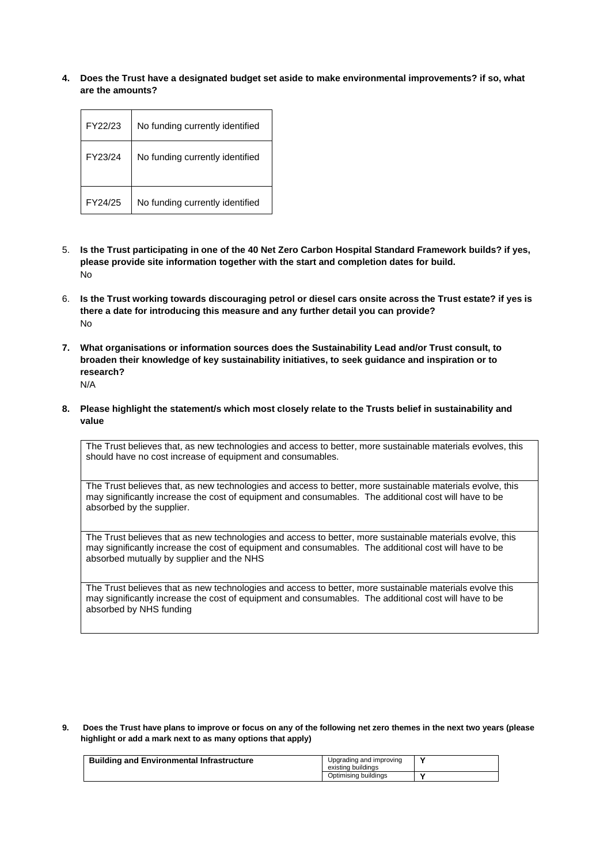**4. Does the Trust have a designated budget set aside to make environmental improvements? if so, what are the amounts?**

| FY22/23 | No funding currently identified |
|---------|---------------------------------|
| FY23/24 | No funding currently identified |
| FY24/25 | No funding currently identified |

- 5. **Is the Trust participating in one of the 40 Net Zero Carbon Hospital Standard Framework builds? if yes, please provide site information together with the start and completion dates for build.** No
- 6. **Is the Trust working towards discouraging petrol or diesel cars onsite across the Trust estate? if yes is there a date for introducing this measure and any further detail you can provide?** No
- **7. What organisations or information sources does the Sustainability Lead and/or Trust consult, to broaden their knowledge of key sustainability initiatives, to seek guidance and inspiration or to research?**  N/A
- **8. Please highlight the statement/s which most closely relate to the Trusts belief in sustainability and value**

The Trust believes that, as new technologies and access to better, more sustainable materials evolves, this should have no cost increase of equipment and consumables.

The Trust believes that, as new technologies and access to better, more sustainable materials evolve, this may significantly increase the cost of equipment and consumables. The additional cost will have to be absorbed by the supplier.

The Trust believes that as new technologies and access to better, more sustainable materials evolve, this may significantly increase the cost of equipment and consumables. The additional cost will have to be absorbed mutually by supplier and the NHS

The Trust believes that as new technologies and access to better, more sustainable materials evolve this may significantly increase the cost of equipment and consumables. The additional cost will have to be absorbed by NHS funding

**9. Does the Trust have plans to improve or focus on any of the following net zero themes in the next two years (please highlight or add a mark next to as many options that apply)**

| <b>Building and Environmental Infrastructure</b> | Upgrading and improving<br>existing buildings |  |
|--------------------------------------------------|-----------------------------------------------|--|
|                                                  | Optimising buildings                          |  |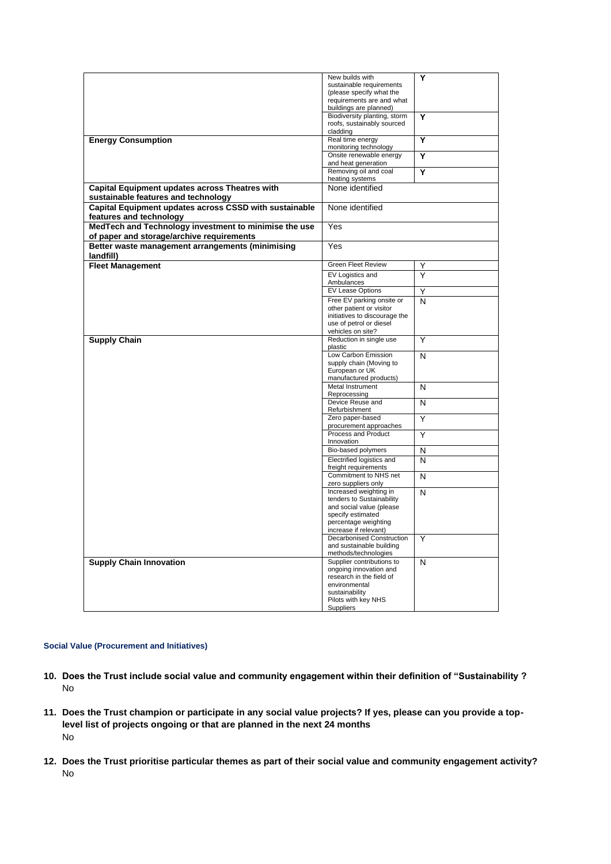|                                                        | New builds with                               | Υ |
|--------------------------------------------------------|-----------------------------------------------|---|
|                                                        | sustainable requirements                      |   |
|                                                        | (please specify what the                      |   |
|                                                        | requirements are and what                     |   |
|                                                        | buildings are planned)                        |   |
|                                                        | Biodiversity planting, storm                  | Y |
|                                                        | roofs, sustainably sourced                    |   |
|                                                        | cladding                                      |   |
| <b>Energy Consumption</b>                              | Real time energy                              | Y |
|                                                        | monitoring technology                         |   |
|                                                        | Onsite renewable energy                       | Y |
|                                                        | and heat generation                           |   |
|                                                        | Removing oil and coal                         | Y |
|                                                        | heating systems                               |   |
| <b>Capital Equipment updates across Theatres with</b>  | None identified                               |   |
| sustainable features and technology                    |                                               |   |
| Capital Equipment updates across CSSD with sustainable | None identified                               |   |
| features and technology                                |                                               |   |
| MedTech and Technology investment to minimise the use  | Yes                                           |   |
|                                                        |                                               |   |
| of paper and storage/archive requirements              |                                               |   |
| Better waste management arrangements (minimising       | Yes                                           |   |
| landfill)                                              |                                               |   |
| <b>Fleet Management</b>                                | <b>Green Fleet Review</b>                     | Y |
|                                                        | EV Logistics and                              | Υ |
|                                                        | Ambulances                                    |   |
|                                                        | <b>EV Lease Options</b>                       | Y |
|                                                        | Free EV parking onsite or                     |   |
|                                                        | other patient or visitor                      | N |
|                                                        | initiatives to discourage the                 |   |
|                                                        | use of petrol or diesel                       |   |
|                                                        | vehicles on site?                             |   |
| <b>Supply Chain</b>                                    | Reduction in single use                       | Υ |
|                                                        | plastic                                       |   |
|                                                        | Low Carbon Emission                           | N |
|                                                        | supply chain (Moving to                       |   |
|                                                        | European or UK                                |   |
|                                                        | manufactured products)                        |   |
|                                                        | Metal Instrument                              | N |
|                                                        | Reprocessing                                  |   |
|                                                        | Device Reuse and                              | N |
|                                                        | Refurbishment                                 |   |
|                                                        | Zero paper-based                              | Υ |
|                                                        | procurement approaches                        |   |
|                                                        | Process and Product                           | Υ |
|                                                        | Innovation                                    |   |
|                                                        | Bio-based polymers                            | N |
|                                                        | Electrified logistics and                     | N |
|                                                        | freight requirements                          |   |
|                                                        | Commitment to NHS net                         | N |
|                                                        | zero suppliers only                           |   |
|                                                        | Increased weighting in                        | N |
|                                                        | tenders to Sustainability                     |   |
|                                                        | and social value (please                      |   |
|                                                        | specify estimated                             |   |
|                                                        | percentage weighting<br>increase if relevant) |   |
|                                                        | <b>Decarbonised Construction</b>              | Υ |
|                                                        | and sustainable building                      |   |
|                                                        | methods/technologies                          |   |
| <b>Supply Chain Innovation</b>                         | Supplier contributions to                     | N |
|                                                        | ongoing innovation and                        |   |
|                                                        | research in the field of                      |   |
|                                                        | environmental                                 |   |
|                                                        | sustainability                                |   |
|                                                        | Pilots with key NHS                           |   |
|                                                        | Suppliers                                     |   |
|                                                        |                                               |   |

## **Social Value (Procurement and Initiatives)**

- **10. Does the Trust include social value and community engagement within their definition of "Sustainability ?**  No
- **11. Does the Trust champion or participate in any social value projects? If yes, please can you provide a toplevel list of projects ongoing or that are planned in the next 24 months**  No
- **12. Does the Trust prioritise particular themes as part of their social value and community engagement activity?**  No